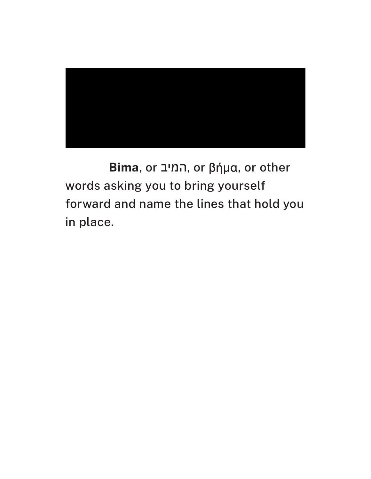

**Bima**, or המיב, or βήμα, or other words asking you to bring yourself forward and name the lines that hold you in place.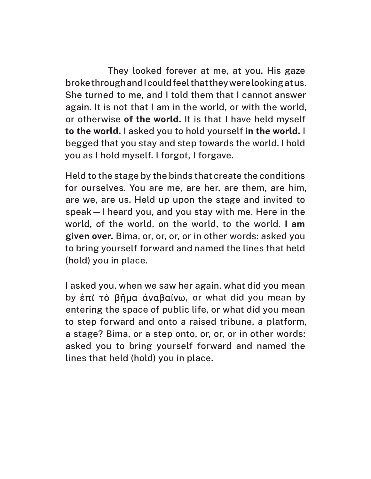They looked forever at me, at you. His gaze broke through and I could feel that they were looking at us. She turned to me, and I told them that I cannot answer again. It is not that I am in the world, or with the world, or otherwise **of the world.** It is that I have held myself **to the world.** I asked you to hold yourself **in the world.** I begged that you stay and step towards the world. I hold you as I hold myself. I forgot, I forgave.

Held to the stage by the binds that create the conditions for ourselves. You are me, are her, are them, are him, are we, are us. Held up upon the stage and invited to speak—I heard you, and you stay with me. Here in the world, of the world, on the world, to the world. **I am given over.** Bima, or, or, or, or in other words: asked you to bring yourself forward and named the lines that held (hold) you in place.

I asked you, when we saw her again, what did you mean by ἐπὶ τὸ βῆμα ἀναβαίνω, or what did you mean by entering the space of public life, or what did you mean to step forward and onto a raised tribune, a platform, a stage? Bima, or a step onto, or, or, or in other words: asked you to bring yourself forward and named the lines that held (hold) you in place.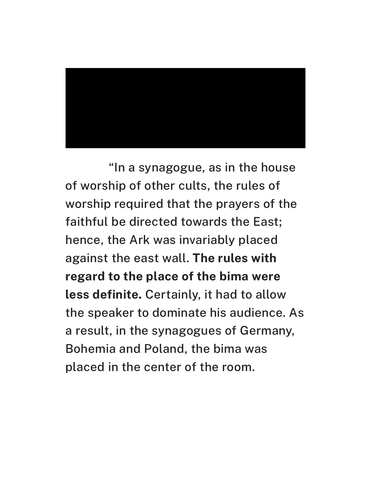

"In a synagogue, as in the house of worship of other cults, the rules of worship required that the prayers of the faithful be directed towards the East; hence, the Ark was invariably placed against the east wall. **The rules with regard to the place of the bima were less definite.** Certainly, it had to allow the speaker to dominate his audience. As a result, in the synagogues of Germany, Bohemia and Poland, the bima was placed in the center of the room.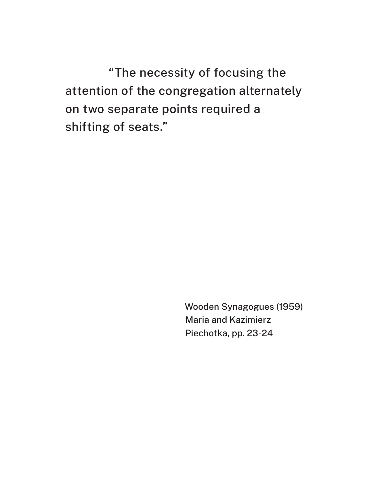"The necessity of focusing the attention of the congregation alternately on two separate points required a shifting of seats."

> Wooden Synagogues (1959) Maria and Kazimierz Piechotka, pp. 23-24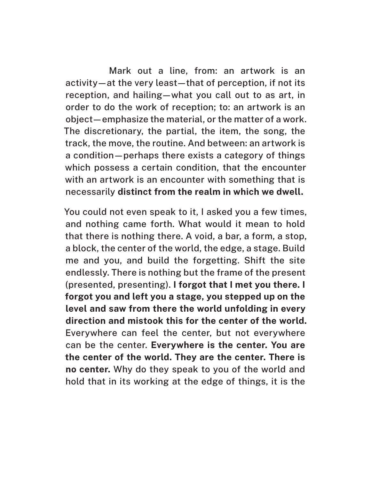Mark out a line, from: an artwork is an activity—at the very least—that of perception, if not its reception, and hailing—what you call out to as art, in order to do the work of reception; to: an artwork is an object—emphasize the material, or the matter of a work. The discretionary, the partial, the item, the song, the track, the move, the routine. And between: an artwork is a condition—perhaps there exists a category of things which possess a certain condition, that the encounter with an artwork is an encounter with something that is necessarily **distinct from the realm in which we dwell.**

You could not even speak to it, I asked you a few times, and nothing came forth. What would it mean to hold that there is nothing there. A void, a bar, a form, a stop, a block, the center of the world, the edge, a stage. Build me and you, and build the forgetting. Shift the site endlessly. There is nothing but the frame of the present (presented, presenting). **I forgot that I met you there. I forgot you and left you a stage, you stepped up on the level and saw from there the world unfolding in every direction and mistook this for the center of the world.** Everywhere can feel the center, but not everywhere can be the center. **Everywhere is the center. You are the center of the world. They are the center. There is no center.** Why do they speak to you of the world and hold that in its working at the edge of things, it is the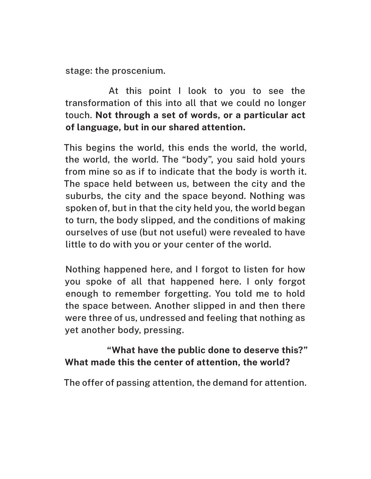stage: the proscenium.

At this point I look to you to see the transformation of this into all that we could no longer touch. **Not through a set of words, or a particular act of language, but in our shared attention.**

This begins the world, this ends the world, the world, the world, the world. The "body", you said hold yours from mine so as if to indicate that the body is worth it. The space held between us, between the city and the suburbs, the city and the space beyond. Nothing was spoken of, but in that the city held you, the world began to turn, the body slipped, and the conditions of making ourselves of use (but not useful) were revealed to have little to do with you or your center of the world.

Nothing happened here, and I forgot to listen for how you spoke of all that happened here. I only forgot enough to remember forgetting. You told me to hold the space between. Another slipped in and then there were three of us, undressed and feeling that nothing as yet another body, pressing.

## **"What have the public done to deserve this?" What made this the center of attention, the world?**

The offer of passing attention, the demand for attention.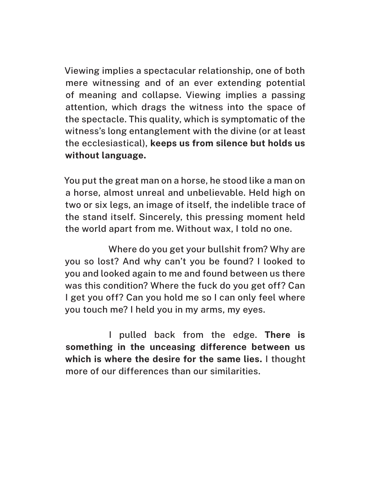Viewing implies a spectacular relationship, one of both mere witnessing and of an ever extending potential of meaning and collapse. Viewing implies a passing attention, which drags the witness into the space of the spectacle. This quality, which is symptomatic of the witness's long entanglement with the divine (or at least the ecclesiastical), **keeps us from silence but holds us without language.**

You put the great man on a horse, he stood like a man on a horse, almost unreal and unbelievable. Held high on two or six legs, an image of itself, the indelible trace of the stand itself. Sincerely, this pressing moment held the world apart from me. Without wax, I told no one.

Where do you get your bullshit from? Why are you so lost? And why can't you be found? I looked to you and looked again to me and found between us there was this condition? Where the fuck do you get off? Can I get you off? Can you hold me so I can only feel where you touch me? I held you in my arms, my eyes.

I pulled back from the edge. **There is something in the unceasing difference between us which is where the desire for the same lies.** I thought more of our differences than our similarities.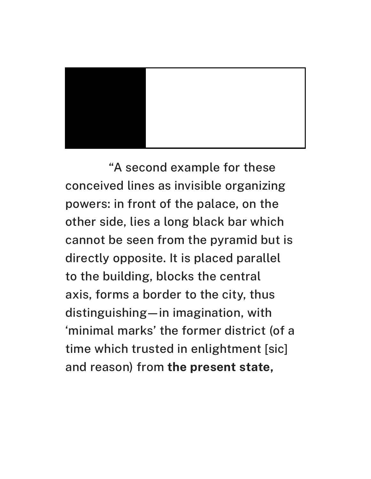

"A second example for these conceived lines as invisible organizing powers: in front of the palace, on the other side, lies a long black bar which cannot be seen from the pyramid but is directly opposite. It is placed parallel to the building, blocks the central axis, forms a border to the city, thus distinguishing—in imagination, with 'minimal marks' the former district (of a time which trusted in enlightment [sic] and reason) from **the present state,**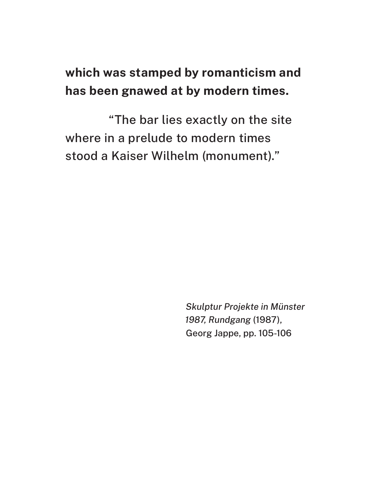## **which was stamped by romanticism and has been gnawed at by modern times.**

"The bar lies exactly on the site where in a prelude to modern times stood a Kaiser Wilhelm (monument)."

> *Skulptur Projekte in Münster 1987, Rundgang* (1987), Georg Jappe, pp. 105-106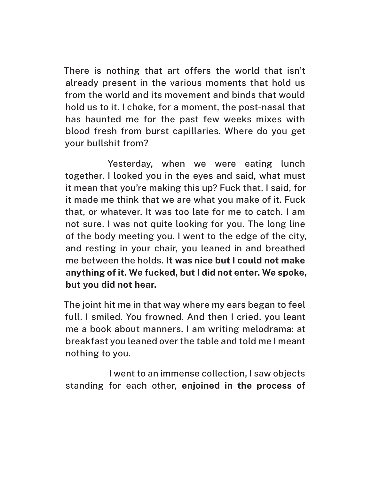There is nothing that art offers the world that isn't already present in the various moments that hold us from the world and its movement and binds that would hold us to it. I choke, for a moment, the post-nasal that has haunted me for the past few weeks mixes with blood fresh from burst capillaries. Where do you get your bullshit from?

Yesterday, when we were eating lunch together, I looked you in the eyes and said, what must it mean that you're making this up? Fuck that, I said, for it made me think that we are what you make of it. Fuck that, or whatever. It was too late for me to catch. I am not sure. I was not quite looking for you. The long line of the body meeting you. I went to the edge of the city, and resting in your chair, you leaned in and breathed me between the holds. **It was nice but I could not make anything of it. We fucked, but I did not enter. We spoke, but you did not hear.** 

The joint hit me in that way where my ears began to feel full. I smiled. You frowned. And then I cried, you leant me a book about manners. I am writing melodrama: at breakfast you leaned over the table and told me I meant nothing to you.

I went to an immense collection, I saw objects standing for each other, **enjoined in the process of**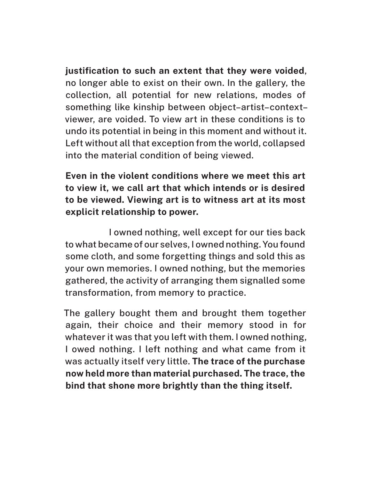**justification to such an extent that they were voided**, no longer able to exist on their own. In the gallery, the collection, all potential for new relations, modes of something like kinship between object–artist–context– viewer, are voided. To view art in these conditions is to undo its potential in being in this moment and without it. Left without all that exception from the world, collapsed into the material condition of being viewed.

## **Even in the violent conditions where we meet this art to view it, we call art that which intends or is desired to be viewed. Viewing art is to witness art at its most explicit relationship to power.**

I owned nothing, well except for our ties back to what became of our selves, I owned nothing. You found some cloth, and some forgetting things and sold this as your own memories. I owned nothing, but the memories gathered, the activity of arranging them signalled some transformation, from memory to practice.

The gallery bought them and brought them together again, their choice and their memory stood in for whatever it was that you left with them. I owned nothing, I owed nothing. I left nothing and what came from it was actually itself very little. **The trace of the purchase now held more than material purchased. The trace, the bind that shone more brightly than the thing itself.**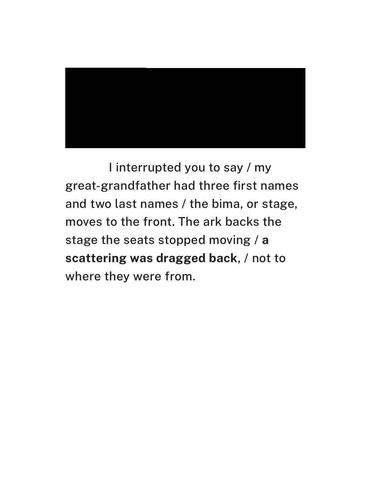

I interrupted you to say / my great-grandfather had three first names and two last names / the bima, or stage, moves to the front. The ark backs the stage the seats stopped moving / **a scattering was dragged back**, / not to where they were from.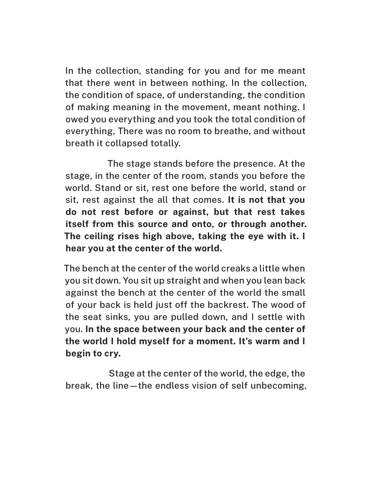In the collection, standing for you and for me meant that there went in between nothing. In the collection, the condition of space, of understanding, the condition of making meaning in the movement, meant nothing. I owed you everything and you took the total condition of everything, There was no room to breathe, and without breath it collapsed totally.

The stage stands before the presence. At the stage, in the center of the room, stands you before the world. Stand or sit, rest one before the world, stand or sit, rest against the all that comes. **It is not that you do not rest before or against, but that rest takes itself from this source and onto, or through another. The ceiling rises high above, taking the eye with it. I hear you at the center of the world.**

The bench at the center of the world creaks a little when you sit down. You sit up straight and when you lean back against the bench at the center of the world the small of your back is held just off the backrest. The wood of the seat sinks, you are pulled down, and I settle with you. **In the space between your back and the center of the world I hold myself for a moment. It's warm and I begin to cry.**

Stage at the center of the world, the edge, the break, the line—the endless vision of self unbecoming,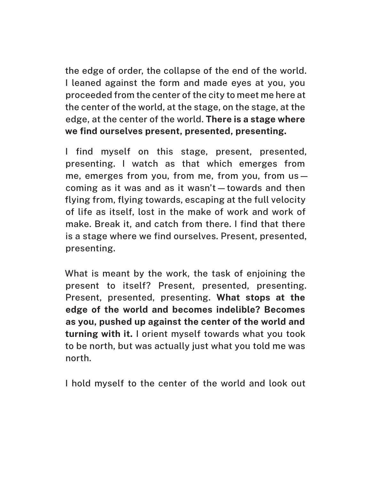the edge of order, the collapse of the end of the world. I leaned against the form and made eyes at you, you proceeded from the center of the city to meet me here at the center of the world, at the stage, on the stage, at the edge, at the center of the world. **There is a stage where we find ourselves present, presented, presenting.**

I find myself on this stage, present, presented, presenting. I watch as that which emerges from me, emerges from you, from me, from you, from us coming as it was and as it wasn't—towards and then flying from, flying towards, escaping at the full velocity of life as itself, lost in the make of work and work of make. Break it, and catch from there. I find that there is a stage where we find ourselves. Present, presented, presenting.

What is meant by the work, the task of enjoining the present to itself? Present, presented, presenting. Present, presented, presenting. **What stops at the edge of the world and becomes indelible? Becomes as you, pushed up against the center of the world and turning with it.** I orient myself towards what you took to be north, but was actually just what you told me was north.

I hold myself to the center of the world and look out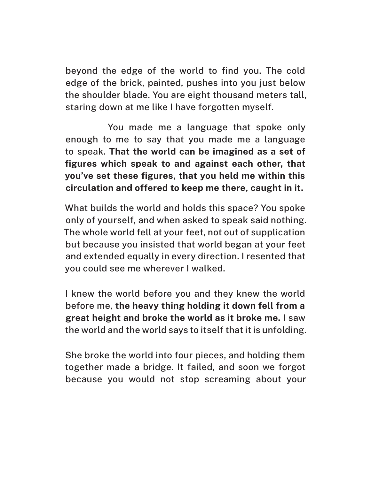beyond the edge of the world to find you. The cold edge of the brick, painted, pushes into you just below the shoulder blade. You are eight thousand meters tall, staring down at me like I have forgotten myself.

You made me a language that spoke only enough to me to say that you made me a language to speak. **That the world can be imagined as a set of figures which speak to and against each other, that you've set these figures, that you held me within this circulation and offered to keep me there, caught in it.**

What builds the world and holds this space? You spoke only of yourself, and when asked to speak said nothing. The whole world fell at your feet, not out of supplication but because you insisted that world began at your feet and extended equally in every direction. I resented that you could see me wherever I walked.

I knew the world before you and they knew the world before me, **the heavy thing holding it down fell from a great height and broke the world as it broke me.** I saw the world and the world says to itself that it is unfolding.

She broke the world into four pieces, and holding them together made a bridge. It failed, and soon we forgot because you would not stop screaming about your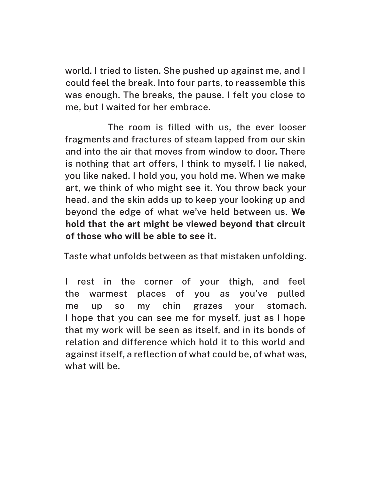world. I tried to listen. She pushed up against me, and I could feel the break. Into four parts, to reassemble this was enough. The breaks, the pause. I felt you close to me, but I waited for her embrace.

The room is filled with us, the ever looser fragments and fractures of steam lapped from our skin and into the air that moves from window to door. There is nothing that art offers, I think to myself. I lie naked, you like naked. I hold you, you hold me. When we make art, we think of who might see it. You throw back your head, and the skin adds up to keep your looking up and beyond the edge of what we've held between us. **We hold that the art might be viewed beyond that circuit of those who will be able to see it.** 

Taste what unfolds between as that mistaken unfolding.

I rest in the corner of your thigh, and feel the warmest places of you as you've pulled me up so my chin grazes your stomach. I hope that you can see me for myself, just as I hope that my work will be seen as itself, and in its bonds of relation and difference which hold it to this world and against itself, a reflection of what could be, of what was, what will be.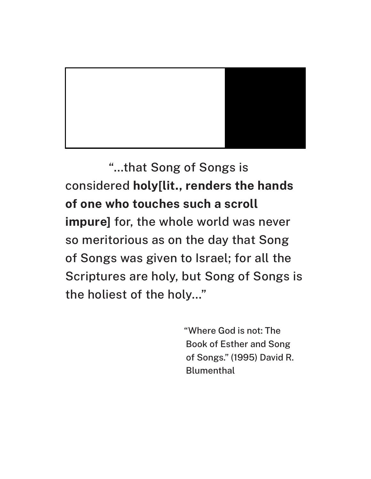

"…that Song of Songs is considered **holy[lit., renders the hands of one who touches such a scroll impure]** for, the whole world was never so meritorious as on the day that Song of Songs was given to Israel; for all the Scriptures are holy, but Song of Songs is the holiest of the holy…"

> "Where God is not: The Book of Esther and Song of Songs." (1995) David R. **Blumenthal**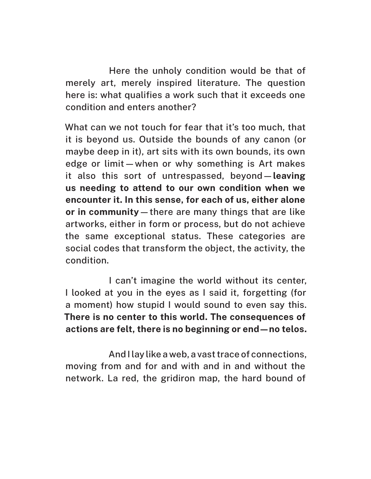Here the unholy condition would be that of merely art, merely inspired literature. The question here is: what qualifies a work such that it exceeds one condition and enters another?

What can we not touch for fear that it's too much, that it is beyond us. Outside the bounds of any canon (or maybe deep in it), art sits with its own bounds, its own edge or limit—when or why something is Art makes it also this sort of untrespassed, beyond—**leaving us needing to attend to our own condition when we encounter it. In this sense, for each of us, either alone or in community**—there are many things that are like artworks, either in form or process, but do not achieve the same exceptional status. These categories are social codes that transform the object, the activity, the condition.

I can't imagine the world without its center, I looked at you in the eyes as I said it, forgetting (for a moment) how stupid I would sound to even say this. **There is no center to this world. The consequences of actions are felt, there is no beginning or end—no telos.**

And I lay like a web, a vast trace of connections, moving from and for and with and in and without the network. La red, the gridiron map, the hard bound of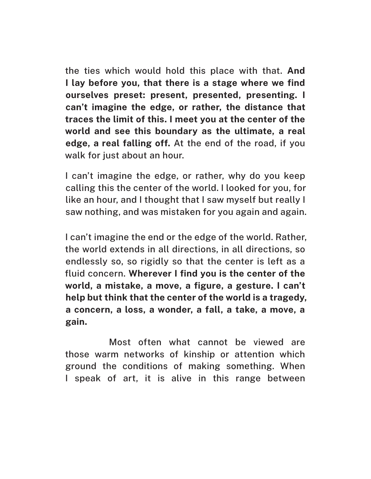the ties which would hold this place with that. **And I lay before you, that there is a stage where we find ourselves preset: present, presented, presenting. I can't imagine the edge, or rather, the distance that traces the limit of this. I meet you at the center of the world and see this boundary as the ultimate, a real edge, a real falling off.** At the end of the road, if you walk for just about an hour.

I can't imagine the edge, or rather, why do you keep calling this the center of the world. I looked for you, for like an hour, and I thought that I saw myself but really I saw nothing, and was mistaken for you again and again.

I can't imagine the end or the edge of the world. Rather, the world extends in all directions, in all directions, so endlessly so, so rigidly so that the center is left as a fluid concern. **Wherever I find you is the center of the world, a mistake, a move, a figure, a gesture. I can't help but think that the center of the world is a tragedy, a concern, a loss, a wonder, a fall, a take, a move, a gain.**

Most often what cannot be viewed are those warm networks of kinship or attention which ground the conditions of making something. When I speak of art, it is alive in this range between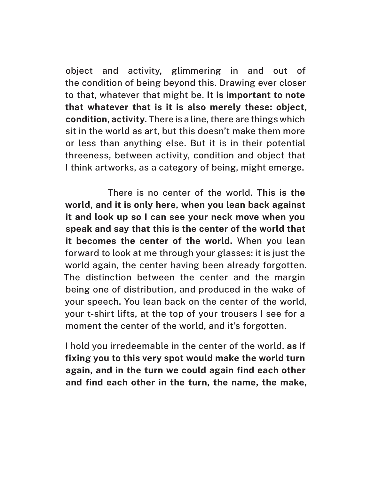object and activity, glimmering in and out of the condition of being beyond this. Drawing ever closer to that, whatever that might be. **It is important to note that whatever that is it is also merely these: object, condition, activity.** There is a line, there are things which sit in the world as art, but this doesn't make them more or less than anything else. But it is in their potential threeness, between activity, condition and object that I think artworks, as a category of being, might emerge.

There is no center of the world. **This is the world, and it is only here, when you lean back against it and look up so I can see your neck move when you speak and say that this is the center of the world that it becomes the center of the world.** When you lean forward to look at me through your glasses: it is just the world again, the center having been already forgotten. The distinction between the center and the margin being one of distribution, and produced in the wake of your speech. You lean back on the center of the world, your t-shirt lifts, at the top of your trousers I see for a moment the center of the world, and it's forgotten.

I hold you irredeemable in the center of the world, **as if fixing you to this very spot would make the world turn again, and in the turn we could again find each other and find each other in the turn, the name, the make,**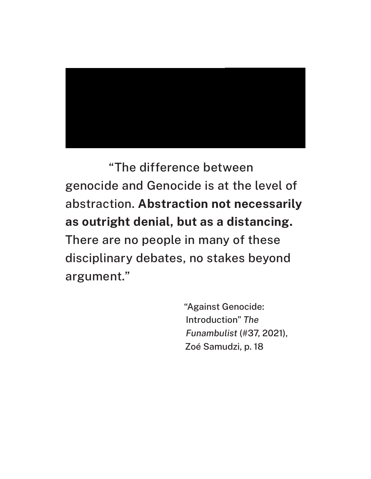

"The difference between genocide and Genocide is at the level of abstraction. **Abstraction not necessarily as outright denial, but as a distancing.** There are no people in many of these disciplinary debates, no stakes beyond argument."

> "Against Genocide: Introduction" *The Funambulist* (#37, 2021), Zoé Samudzi, p. 18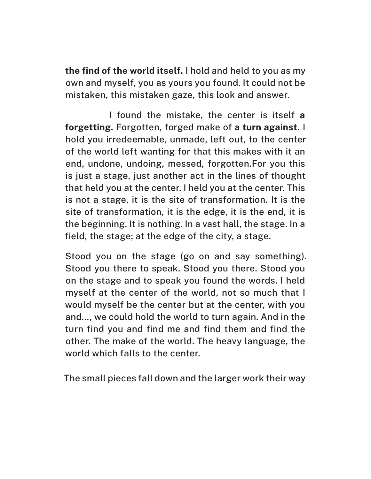**the find of the world itself.** I hold and held to you as my own and myself, you as yours you found. It could not be mistaken, this mistaken gaze, this look and answer.

I found the mistake, the center is itself **a forgetting.** Forgotten, forged make of **a turn against.** I hold you irredeemable, unmade, left out, to the center of the world left wanting for that this makes with it an end, undone, undoing, messed, forgotten.For you this is just a stage, just another act in the lines of thought that held you at the center. I held you at the center. This is not a stage, it is the site of transformation. It is the site of transformation, it is the edge, it is the end, it is the beginning. It is nothing. In a vast hall, the stage. In a field, the stage; at the edge of the city, a stage.

Stood you on the stage (go on and say something). Stood you there to speak. Stood you there. Stood you on the stage and to speak you found the words. I held myself at the center of the world, not so much that I would myself be the center but at the center, with you and…, we could hold the world to turn again. And in the turn find you and find me and find them and find the other. The make of the world. The heavy language, the world which falls to the center.

The small pieces fall down and the larger work their way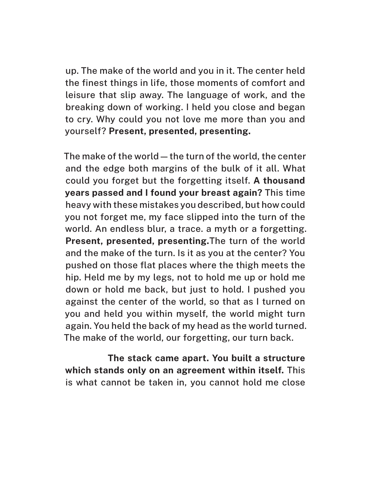up. The make of the world and you in it. The center held the finest things in life, those moments of comfort and leisure that slip away. The language of work, and the breaking down of working. I held you close and began to cry. Why could you not love me more than you and yourself? **Present, presented, presenting.** 

The make of the world—the turn of the world, the center and the edge both margins of the bulk of it all. What could you forget but the forgetting itself. **A thousand years passed and I found your breast again?** This time heavy with these mistakes you described, but how could you not forget me, my face slipped into the turn of the world. An endless blur, a trace. a myth or a forgetting. **Present, presented, presenting.**The turn of the world and the make of the turn. Is it as you at the center? You pushed on those flat places where the thigh meets the hip. Held me by my legs, not to hold me up or hold me down or hold me back, but just to hold. I pushed you against the center of the world, so that as I turned on you and held you within myself, the world might turn again. You held the back of my head as the world turned. The make of the world, our forgetting, our turn back.

**The stack came apart. You built a structure which stands only on an agreement within itself.** This is what cannot be taken in, you cannot hold me close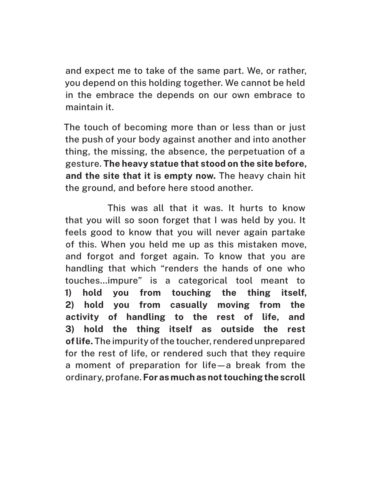and expect me to take of the same part. We, or rather, you depend on this holding together. We cannot be held in the embrace the depends on our own embrace to maintain it.

The touch of becoming more than or less than or just the push of your body against another and into another thing, the missing, the absence, the perpetuation of a gesture. **The heavy statue that stood on the site before, and the site that it is empty now.** The heavy chain hit the ground, and before here stood another.

This was all that it was. It hurts to know that you will so soon forget that I was held by you. It feels good to know that you will never again partake of this. When you held me up as this mistaken move, and forgot and forget again. To know that you are handling that which "renders the hands of one who touches…impure" is a categorical tool meant to **1) hold you from touching the thing itself, 2) hold you from casually moving from the activity of handling to the rest of life, and 3) hold the thing itself as outside the rest of life.** The impurity of the toucher, rendered unprepared for the rest of life, or rendered such that they require a moment of preparation for life—a break from the ordinary, profane. **For as much as not touching the scroll**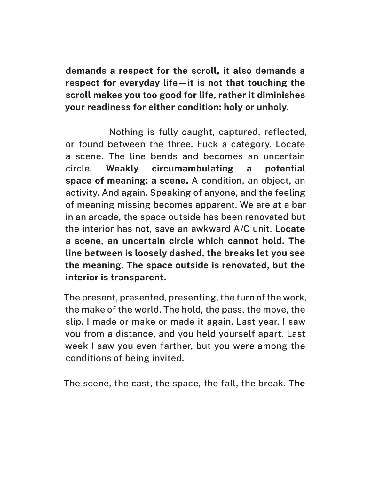**demands a respect for the scroll, it also demands a respect for everyday life—it is not that touching the scroll makes you too good for life, rather it diminishes your readiness for either condition: holy or unholy.**

Nothing is fully caught, captured, reflected, or found between the three. Fuck a category. Locate a scene. The line bends and becomes an uncertain circle. **Weakly circumambulating a potential space of meaning: a scene.** A condition, an object, an activity. And again. Speaking of anyone, and the feeling of meaning missing becomes apparent. We are at a bar in an arcade, the space outside has been renovated but the interior has not, save an awkward A/C unit. **Locate a scene, an uncertain circle which cannot hold. The line between is loosely dashed, the breaks let you see the meaning. The space outside is renovated, but the interior is transparent.**

The present, presented, presenting, the turn of the work, the make of the world. The hold, the pass, the move, the slip. I made or make or made it again. Last year, I saw you from a distance, and you held yourself apart. Last week I saw you even farther, but you were among the conditions of being invited.

The scene, the cast, the space, the fall, the break. **The**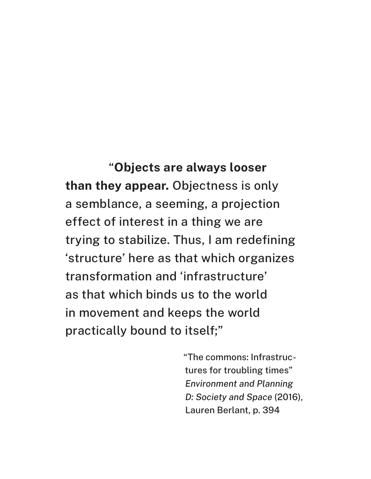"**Objects are always looser than they appear.** Objectness is only a semblance, a seeming, a projection effect of interest in a thing we are trying to stabilize. Thus, I am redefining 'structure' here as that which organizes transformation and 'infrastructure' as that which binds us to the world in movement and keeps the world practically bound to itself;"

> "The commons: Infrastructures for troubling times" *Environment and Planning D: Society and Space* (2016), Lauren Berlant, p. 394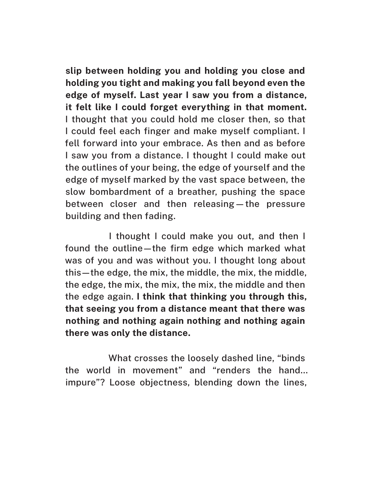**slip between holding you and holding you close and holding you tight and making you fall beyond even the edge of myself. Last year I saw you from a distance, it felt like I could forget everything in that moment.** I thought that you could hold me closer then, so that I could feel each finger and make myself compliant. I fell forward into your embrace. As then and as before I saw you from a distance. I thought I could make out the outlines of your being, the edge of yourself and the edge of myself marked by the vast space between, the slow bombardment of a breather, pushing the space between closer and then releasing—the pressure building and then fading.

I thought I could make you out, and then I found the outline—the firm edge which marked what was of you and was without you. I thought long about this—the edge, the mix, the middle, the mix, the middle, the edge, the mix, the mix, the mix, the middle and then the edge again. **I think that thinking you through this, that seeing you from a distance meant that there was nothing and nothing again nothing and nothing again there was only the distance.**

What crosses the loosely dashed line, "binds the world in movement" and "renders the hand… impure"? Loose objectness, blending down the lines,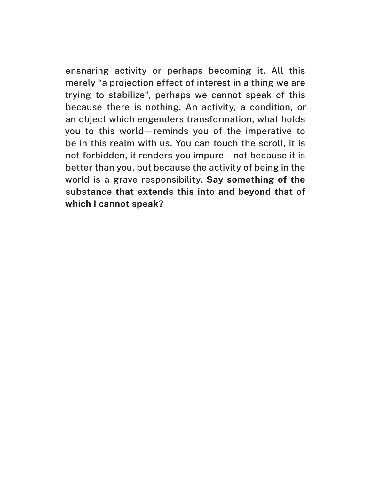ensnaring activity or perhaps becoming it. All this merely "a projection effect of interest in a thing we are trying to stabilize", perhaps we cannot speak of this because there is nothing. An activity, a condition, or an object which engenders transformation, what holds you to this world—reminds you of the imperative to be in this realm with us. You can touch the scroll, it is not forbidden, it renders you impure—not because it is better than you, but because the activity of being in the world is a grave responsibility. **Say something of the substance that extends this into and beyond that of which I cannot speak?**